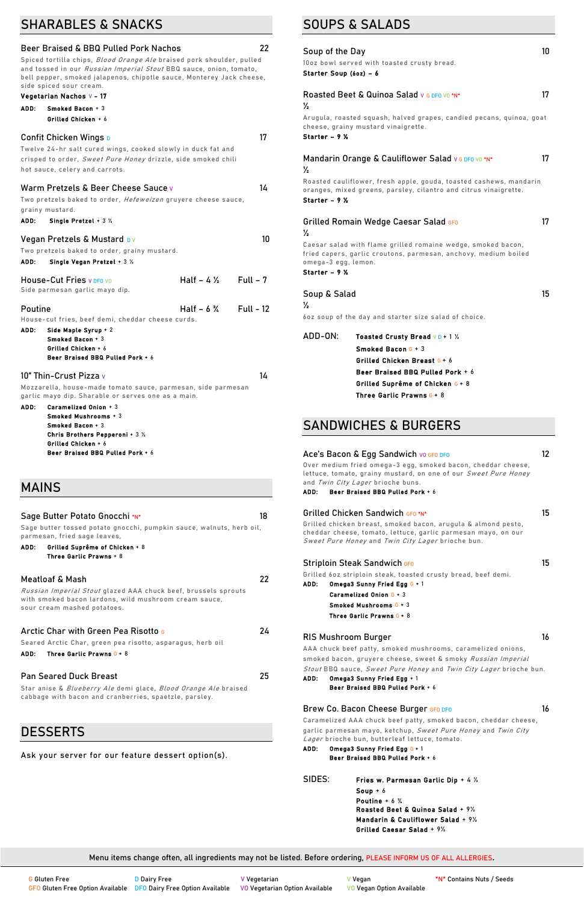## SHARABLES & SNACKS

| <b>Beer Braised &amp; BBQ Pulled Pork Nachos</b>                                                                                                                                                                                                             |                      | 22               |
|--------------------------------------------------------------------------------------------------------------------------------------------------------------------------------------------------------------------------------------------------------------|----------------------|------------------|
| Spiced tortilla chips, <i>Blood Orange Ale</i> braised pork shoulder, pulled<br>and tossed in our <i>Russian Imperial Stout</i> BBQ sauce, onion, tomato,<br>bell pepper, smoked jalapenos, chipotle sauce, Monterey Jack cheese,<br>side spiced sour cream. |                      |                  |
| Vegetarian Nachos v - 17                                                                                                                                                                                                                                     |                      |                  |
| ADD:<br>Smoked Bacon $+3$                                                                                                                                                                                                                                    |                      |                  |
| Grilled Chicken + 6                                                                                                                                                                                                                                          |                      |                  |
| <b>Confit Chicken Wings D</b><br>Twelve 24-hr salt cured wings, cooked slowly in duck fat and<br>crisped to order, Sweet Pure Honey drizzle, side smoked chili<br>hot sauce, celery and carrots.                                                             |                      | 17               |
| Warm Pretzels & Beer Cheese Sauce v                                                                                                                                                                                                                          |                      | 14               |
| Two pretzels baked to order, <i>Hefeweizen</i> gruyere cheese sauce,<br>grainy mustard.<br>ADD:<br>Single Pretzel + 3 $\frac{1}{2}$                                                                                                                          |                      |                  |
|                                                                                                                                                                                                                                                              |                      |                  |
| Vegan Pretzels & Mustard DV                                                                                                                                                                                                                                  |                      | 10               |
| Two pretzels baked to order, grainy mustard.<br>ADD:<br>Single Vegan Pretzel + 3 1/2                                                                                                                                                                         |                      |                  |
|                                                                                                                                                                                                                                                              |                      |                  |
| <b>House-Cut Fries V DFO VO</b><br>Side parmesan garlic mayo dip.                                                                                                                                                                                            | Half $-4\frac{1}{2}$ | $Full - 7$       |
| <b>Poutine</b>                                                                                                                                                                                                                                               | Half $-6\%$          | <b>Full - 12</b> |
| House-cut fries, beef demi, cheddar cheese curds.<br>ADD:<br>Side Maple Syrup + 2<br>Smoked Bacon + 3<br>Grilled Chicken + 6<br>Beer Braised BBQ Pulled Pork + 6                                                                                             |                      |                  |
| 10" Thin-Crust Pizza v                                                                                                                                                                                                                                       |                      | 14               |
| Mozzarella, house-made tomato sauce, parmesan, side parmesan<br>garlic mayo dip. Sharable or serves one as a main.<br>Caramelized Onion + 3<br>ADD:<br>Smoked Mushrooms + 3                                                                                  |                      |                  |
| Smoked Bacon + 3<br>Chris Brothers Pepperoni + 3 $\frac{1}{2}$                                                                                                                                                                                               |                      |                  |
| Grilled Chicken + 6                                                                                                                                                                                                                                          |                      |                  |
| Beer Braised BBQ Pulled Pork + 6                                                                                                                                                                                                                             |                      |                  |
|                                                                                                                                                                                                                                                              |                      |                  |
| <b>MAINS</b>                                                                                                                                                                                                                                                 |                      |                  |
| Sage Butter Potato Gnocchi *N*                                                                                                                                                                                                                               |                      | 18               |
| Sage butter tossed potato gnocchi, pumpkin sauce, walnuts, herb oil,<br>parmesan, fried sage leaves,                                                                                                                                                         |                      |                  |
| Grilled Suprême of Chicken + 8<br>ADD:<br>Three Garlic Prawns + 8                                                                                                                                                                                            |                      |                  |
| <b>Meatloaf &amp; Mash</b>                                                                                                                                                                                                                                   |                      | 22               |

Star anise & Blueberry Ale demi glace, Blood Orange Ale braised cabbage with bacon and cranberries, spaetzle, parsley.

## **DESSERTS**

Over medium fried omega-3 egg, smoked bacon, cheddar cheese, lettuce, tomato, grainy mustard, on one of our Sweet Pure Honey and Twin City Lager brioche buns.

Russian Imperial Stout glazed AAA chuck beef, brussels sprouts with smoked bacon lardons, wild mushroom cream sauce, sour cream mashed potatoes.

Grilled chicken breast, smoked bacon, arugula & almond pesto, cheddar cheese, tomato, lettuce, garlic parmesan mayo, on our Sweet Pure Honey and Twin City Lager brioche bun.

#### **Striploin Steak Sandwich GFO 15**

#### **Arctic Char with Green Pea Risotto <sup>G</sup> 24**

Seared Arctic Char, green pea risotto, asparagus, herb oil

#### ADD: Three Garlic Prawns **G** + 8

AAA chuck beef patty, smoked mushrooms, caramelized onions, smoked bacon, gruyere cheese, sweet & smoky Russian Imperial

#### **Pan Seared Duck Breast 25**

Ask your server for our feature dessert option(s).

Stout BBQ sauce, Sweet Pure Honey and Twin City Lager brioche bun.

SOUPS & SALADS

| Soup of the Day<br>Starter Soup (6oz) - 6 | 10oz bowl served with toasted crusty bread.                                                                                                                              | 10 |
|-------------------------------------------|--------------------------------------------------------------------------------------------------------------------------------------------------------------------------|----|
| $\frac{1}{2}$                             | Roasted Beet & Quinoa Salad y G DFO VO *N*                                                                                                                               | 17 |
| Starter - $9\%$                           | Arugula, roasted squash, halved grapes, candied pecans, quinoa, goat<br>cheese, grainy mustard vinaigrette.                                                              |    |
| $\frac{1}{2}$                             | Mandarin Orange & Cauliflower Salad vG DFO VO *N*                                                                                                                        | 17 |
| Starter - 9 %                             | Roasted cauliflower, fresh apple, gouda, toasted cashews, mandarin<br>oranges, mixed greens, parsley, cilantro and citrus vinaigrette.                                   |    |
| $\frac{1}{2}$                             | Grilled Romain Wedge Caesar Salad GFO<br>Caesar salad with flame grilled romaine wedge, smoked bacon,<br>fried capers, garlic croutons, parmesan, anchovy, medium boiled | 17 |
| omega-3 egg, lemon.<br>Starter - $9\%$    |                                                                                                                                                                          |    |
| Soup & Salad<br>$\frac{1}{2}$             |                                                                                                                                                                          | 15 |
|                                           | 60z soup of the day and starter size salad of choice.                                                                                                                    |    |
| ADD-ON:                                   | Toasted Crusty Bread VD + 1 1/2                                                                                                                                          |    |
|                                           | Smoked Bacon $6 + 3$                                                                                                                                                     |    |
|                                           | Grilled Chicken Breast G + 6                                                                                                                                             |    |
|                                           | Beer Braised BBQ Pulled Pork + 6                                                                                                                                         |    |
|                                           | Grilled Suprême of Chicken G + 8                                                                                                                                         |    |

Three Garlic Prawns **G** + 8

#### **Ace's Bacon & Egg Sandwich VO GFO DFO 12**

## SANDWICHES & BURGERS

ADD: Beer Braised BBQ Pulled Pork + 6

#### **Grilled Chicken Sandwich GFO \*N\* 15**

Grilled 6oz striploin steak, toasted crusty bread, beef demi.

ADD: Omega3 Sunny Fried Egg **G** + 1 Caramelized Onion **G** + 3 Smoked Mushrooms **G** + 3 Three Garlic Prawns **G** + 8

#### **RIS Mushroom Burger 16**

ADD: Omega3 Sunny Fried Egg + 1 Beer Braised BBQ Pulled Pork + 6

#### **Brew Co. Bacon Cheese Burger GFO DFO 16**

Caramelized AAA chuck beef patty, smoked bacon, cheddar cheese,

garlic parmesan mayo, ketchup, Sweet Pure Honey and Twin City Lager brioche bun, butterleaf lettuce, tomato.

- ADD: Omega3 Sunny Fried Egg **G** + 1 Beer Braised BBQ Pulled Pork + 6
- **SIDES:** Fries w. Parmesan Garlic Dip + 4 ½ Soup + 6 Poutine + 6 ¾ Roasted Beet & Quinoa Salad + 9½ Mandarin & Cauliflower Salad + 9½ Grilled Caesar Salad + 9½

Menu items change often, all ingredients may not be listed. Before ordering, **PLEASE INFORM US OF ALL ALLERGIES**.

**G Gluten Free D Dairy Free V Vegetarian V Vegan \*N\* Contains Nuts / Seeds GFO Gluten Free Option Available DFO Dairy Free Option Available VO Vegetarian Option Available VO Vegan Option Available**